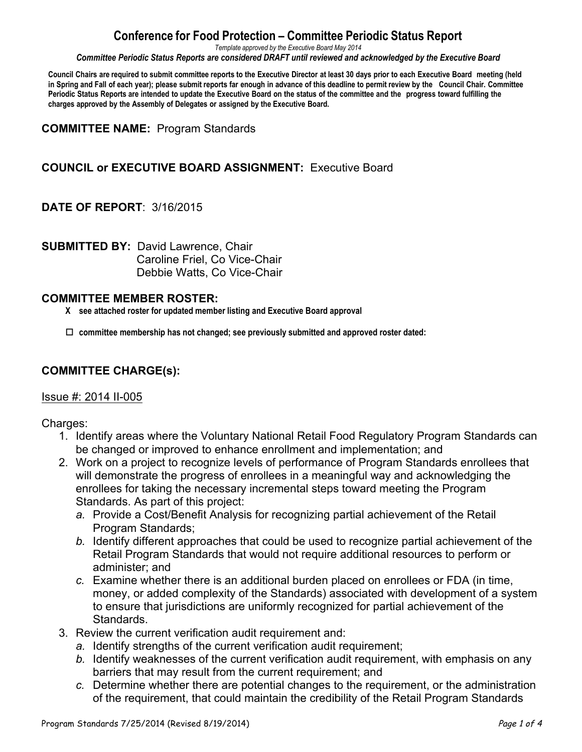# **Conference for Food Protection – Committee Periodic Status Report**

*Template approved by the Executive Board May 2014*

*Committee Periodic Status Reports are considered DRAFT until reviewed and acknowledged by the Executive Board*

Council Chairs are required to submit committee reports to the Executive Director at least 30 days prior to each Executive Board meeting (held in Spring and Fall of each year); please submit reports far enough in advance of this deadline to permit review by the Council Chair. Committee Periodic Status Reports are intended to update the Executive Board on the status of the committee and the progress toward fulfilling the **charges approved by the Assembly of Delegates or assigned by the Executive Board.**

**COMMITTEE NAME:** Program Standards

## **COUNCIL or EXECUTIVE BOARD ASSIGNMENT:** Executive Board

#### **DATE OF REPORT**: 3/16/2015

**SUBMITTED BY:** David Lawrence, Chair Caroline Friel, Co Vice-Chair Debbie Watts, Co Vice-Chair

#### **COMMITTEE MEMBER ROSTER:**

- **X see attached roster for updated member listing and Executive Board approval**
- $\square$  committee membership has not changed; see previously submitted and approved roster dated:

### **COMMITTEE CHARGE(s):**

#### Issue #: 2014 II-005

Charges:

- 1. Identify areas where the Voluntary National Retail Food Regulatory Program Standards can be changed or improved to enhance enrollment and implementation; and
- 2. Work on a project to recognize levels of performance of Program Standards enrollees that will demonstrate the progress of enrollees in a meaningful way and acknowledging the enrollees for taking the necessary incremental steps toward meeting the Program Standards. As part of this project:
	- *a.* Provide a Cost/Benefit Analysis for recognizing partial achievement of the Retail Program Standards;
	- *b.* Identify different approaches that could be used to recognize partial achievement of the Retail Program Standards that would not require additional resources to perform or administer; and
	- *c.* Examine whether there is an additional burden placed on enrollees or FDA (in time, money, or added complexity of the Standards) associated with development of a system to ensure that jurisdictions are uniformly recognized for partial achievement of the Standards.
- 3. Review the current verification audit requirement and:
	- *a.* Identify strengths of the current verification audit requirement;
	- *b.* Identify weaknesses of the current verification audit requirement, with emphasis on any barriers that may result from the current requirement; and
	- *c.* Determine whether there are potential changes to the requirement, or the administration of the requirement, that could maintain the credibility of the Retail Program Standards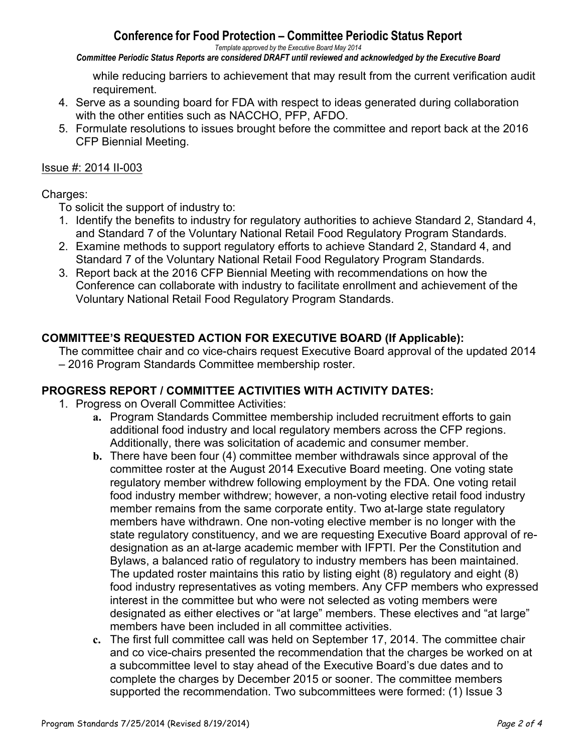# **Conference for Food Protection – Committee Periodic Status Report**

*Template approved by the Executive Board May 2014*

*Committee Periodic Status Reports are considered DRAFT until reviewed and acknowledged by the Executive Board*

while reducing barriers to achievement that may result from the current verification audit requirement.

- 4. Serve as a sounding board for FDA with respect to ideas generated during collaboration with the other entities such as NACCHO, PFP, AFDO.
- 5. Formulate resolutions to issues brought before the committee and report back at the 2016 CFP Biennial Meeting.

### Issue #: 2014 II-003

### Charges:

To solicit the support of industry to:

- 1. Identify the benefits to industry for regulatory authorities to achieve Standard 2, Standard 4, and Standard 7 of the Voluntary National Retail Food Regulatory Program Standards.
- 2. Examine methods to support regulatory efforts to achieve Standard 2, Standard 4, and Standard 7 of the Voluntary National Retail Food Regulatory Program Standards.
- 3. Report back at the 2016 CFP Biennial Meeting with recommendations on how the Conference can collaborate with industry to facilitate enrollment and achievement of the Voluntary National Retail Food Regulatory Program Standards.

## **COMMITTEE'S REQUESTED ACTION FOR EXECUTIVE BOARD (If Applicable):**

The committee chair and co vice-chairs request Executive Board approval of the updated 2014 – 2016 Program Standards Committee membership roster.

## **PROGRESS REPORT / COMMITTEE ACTIVITIES WITH ACTIVITY DATES:**

- 1. Progress on Overall Committee Activities:
	- **a.** Program Standards Committee membership included recruitment efforts to gain additional food industry and local regulatory members across the CFP regions. Additionally, there was solicitation of academic and consumer member.
	- **b.** There have been four (4) committee member withdrawals since approval of the committee roster at the August 2014 Executive Board meeting. One voting state regulatory member withdrew following employment by the FDA. One voting retail food industry member withdrew; however, a non-voting elective retail food industry member remains from the same corporate entity. Two at-large state regulatory members have withdrawn. One non-voting elective member is no longer with the state regulatory constituency, and we are requesting Executive Board approval of redesignation as an at-large academic member with IFPTI. Per the Constitution and Bylaws, a balanced ratio of regulatory to industry members has been maintained. The updated roster maintains this ratio by listing eight (8) regulatory and eight (8) food industry representatives as voting members. Any CFP members who expressed interest in the committee but who were not selected as voting members were designated as either electives or "at large" members. These electives and "at large" members have been included in all committee activities.
	- **c.** The first full committee call was held on September 17, 2014. The committee chair and co vice-chairs presented the recommendation that the charges be worked on at a subcommittee level to stay ahead of the Executive Board's due dates and to complete the charges by December 2015 or sooner. The committee members supported the recommendation. Two subcommittees were formed: (1) Issue 3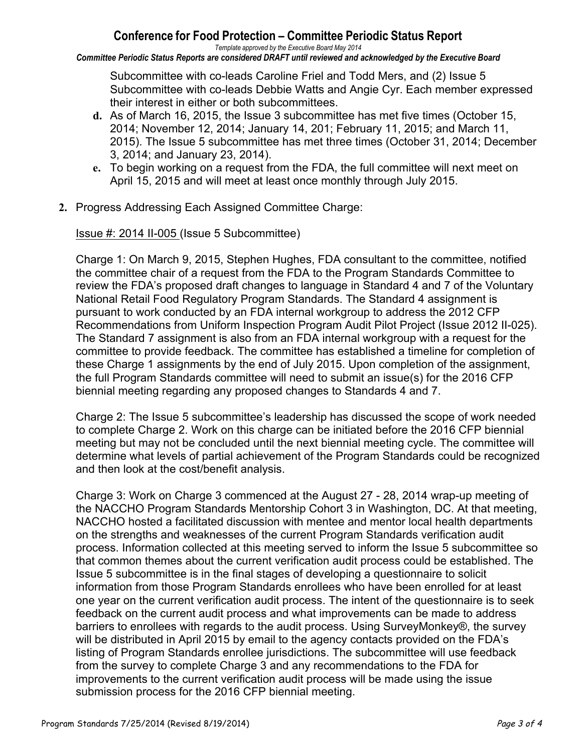# **Conference for Food Protection – Committee Periodic Status Report**

*Template approved by the Executive Board May 2014 Committee Periodic Status Reports are considered DRAFT until reviewed and acknowledged by the Executive Board*

Subcommittee with co-leads Caroline Friel and Todd Mers, and (2) Issue 5 Subcommittee with co-leads Debbie Watts and Angie Cyr. Each member expressed their interest in either or both subcommittees.

- **d.** As of March 16, 2015, the Issue 3 subcommittee has met five times (October 15, 2014; November 12, 2014; January 14, 201; February 11, 2015; and March 11, 2015). The Issue 5 subcommittee has met three times (October 31, 2014; December 3, 2014; and January 23, 2014).
- **e.** To begin working on a request from the FDA, the full committee will next meet on April 15, 2015 and will meet at least once monthly through July 2015.
- **2.** Progress Addressing Each Assigned Committee Charge:

Issue #: 2014 II-005 (Issue 5 Subcommittee)

Charge 1: On March 9, 2015, Stephen Hughes, FDA consultant to the committee, notified the committee chair of a request from the FDA to the Program Standards Committee to review the FDA's proposed draft changes to language in Standard 4 and 7 of the Voluntary National Retail Food Regulatory Program Standards. The Standard 4 assignment is pursuant to work conducted by an FDA internal workgroup to address the 2012 CFP Recommendations from Uniform Inspection Program Audit Pilot Project (Issue 2012 II-025). The Standard 7 assignment is also from an FDA internal workgroup with a request for the committee to provide feedback. The committee has established a timeline for completion of these Charge 1 assignments by the end of July 2015. Upon completion of the assignment, the full Program Standards committee will need to submit an issue(s) for the 2016 CFP biennial meeting regarding any proposed changes to Standards 4 and 7.

Charge 2: The Issue 5 subcommittee's leadership has discussed the scope of work needed to complete Charge 2. Work on this charge can be initiated before the 2016 CFP biennial meeting but may not be concluded until the next biennial meeting cycle. The committee will determine what levels of partial achievement of the Program Standards could be recognized and then look at the cost/benefit analysis.

Charge 3: Work on Charge 3 commenced at the August 27 - 28, 2014 wrap-up meeting of the NACCHO Program Standards Mentorship Cohort 3 in Washington, DC. At that meeting, NACCHO hosted a facilitated discussion with mentee and mentor local health departments on the strengths and weaknesses of the current Program Standards verification audit process. Information collected at this meeting served to inform the Issue 5 subcommittee so that common themes about the current verification audit process could be established. The Issue 5 subcommittee is in the final stages of developing a questionnaire to solicit information from those Program Standards enrollees who have been enrolled for at least one year on the current verification audit process. The intent of the questionnaire is to seek feedback on the current audit process and what improvements can be made to address barriers to enrollees with regards to the audit process. Using SurveyMonkey®, the survey will be distributed in April 2015 by email to the agency contacts provided on the FDA's listing of Program Standards enrollee jurisdictions. The subcommittee will use feedback from the survey to complete Charge 3 and any recommendations to the FDA for improvements to the current verification audit process will be made using the issue submission process for the 2016 CFP biennial meeting.